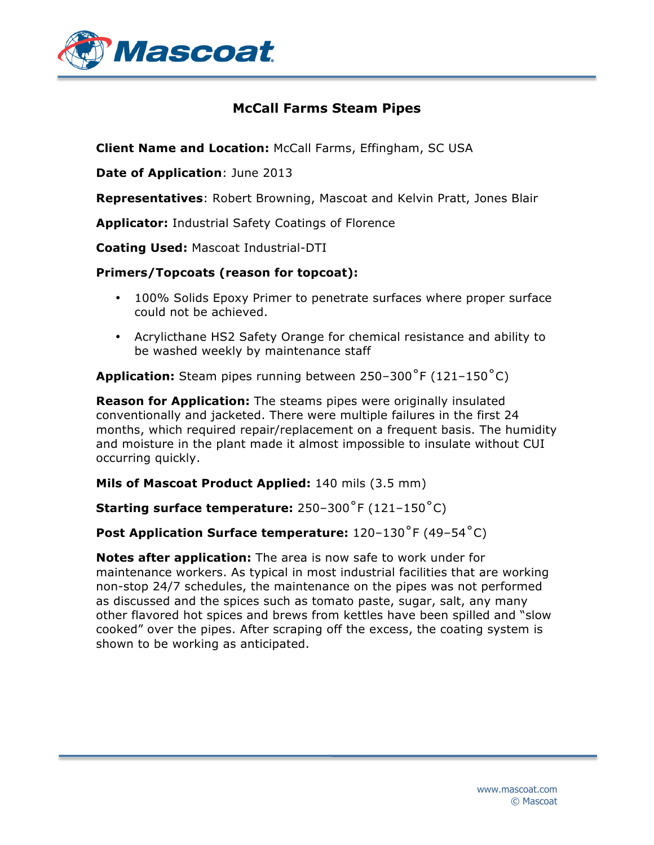

## **McCall Farms Steam Pipes**

**Client Name and Location:** McCall Farms, Effingham, SC USA

**Date of Application**: June 2013

**Representatives**: Robert Browning, Mascoat and Kelvin Pratt, Jones Blair

**Applicator:** Industrial Safety Coatings of Florence

**Coating Used:** Mascoat Industrial-DTI

## **Primers/Topcoats (reason for topcoat):**

- 100% Solids Epoxy Primer to penetrate surfaces where proper surface could not be achieved.
- Acrylicthane HS2 Safety Orange for chemical resistance and ability to be washed weekly by maintenance staff

**Application:** Steam pipes running between 250–300˚F (121–150˚C)

**Reason for Application:** The steams pipes were originally insulated conventionally and jacketed. There were multiple failures in the first 24 months, which required repair/replacement on a frequent basis. The humidity and moisture in the plant made it almost impossible to insulate without CUI occurring quickly.

**Mils of Mascoat Product Applied:** 140 mils (3.5 mm)

**Starting surface temperature:** 250–300˚F (121–150˚C)

## **Post Application Surface temperature:** 120–130˚F (49–54˚C)

**Notes after application:** The area is now safe to work under for maintenance workers. As typical in most industrial facilities that are working non-stop 24/7 schedules, the maintenance on the pipes was not performed as discussed and the spices such as tomato paste, sugar, salt, any many other flavored hot spices and brews from kettles have been spilled and "slow cooked" over the pipes. After scraping off the excess, the coating system is shown to be working as anticipated.